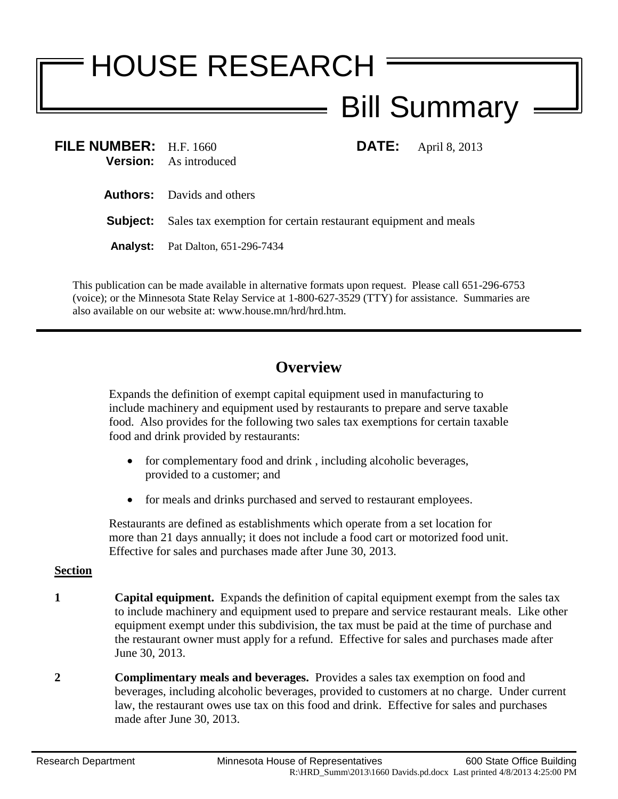## HOUSE RESEARCH Bill Summary

| FILE NUMBER: H.F. 1660 | <b>Version:</b> As introduced                                                  |  | <b>DATE:</b> April 8, 2013 |
|------------------------|--------------------------------------------------------------------------------|--|----------------------------|
|                        | <b>Authors:</b> Davids and others                                              |  |                            |
|                        | <b>Subject:</b> Sales tax exemption for certain restaurant equipment and meals |  |                            |
| <b>Analyst:</b>        | Pat Dalton, 651-296-7434                                                       |  |                            |
|                        |                                                                                |  |                            |

This publication can be made available in alternative formats upon request. Please call 651-296-6753 (voice); or the Minnesota State Relay Service at 1-800-627-3529 (TTY) for assistance. Summaries are also available on our website at: www.house.mn/hrd/hrd.htm.

## **Overview**

Expands the definition of exempt capital equipment used in manufacturing to include machinery and equipment used by restaurants to prepare and serve taxable food. Also provides for the following two sales tax exemptions for certain taxable food and drink provided by restaurants:

- for complementary food and drink, including alcoholic beverages, provided to a customer; and
- for meals and drinks purchased and served to restaurant employees.

Restaurants are defined as establishments which operate from a set location for more than 21 days annually; it does not include a food cart or motorized food unit. Effective for sales and purchases made after June 30, 2013.

## **Section**

- **1 Capital equipment.** Expands the definition of capital equipment exempt from the sales tax to include machinery and equipment used to prepare and service restaurant meals. Like other equipment exempt under this subdivision, the tax must be paid at the time of purchase and the restaurant owner must apply for a refund. Effective for sales and purchases made after June 30, 2013.
- **2 Complimentary meals and beverages.** Provides a sales tax exemption on food and beverages, including alcoholic beverages, provided to customers at no charge. Under current law, the restaurant owes use tax on this food and drink. Effective for sales and purchases made after June 30, 2013.